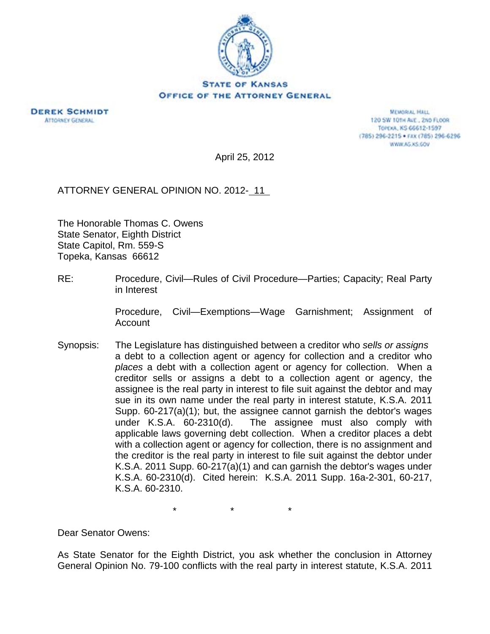

**DEREK SCHMIDT ATTORNEY GENERAL** 

**MEMORIAL HALL** 120 SW 101H AVE., 2ND FLOOR TOPEXA, KS 66612-1597 (785) 296-2215 · FAX (785) 296-6296 WWW.AG.XS.COV

April 25, 2012

ATTORNEY GENERAL OPINION NO. 2012- 11

The Honorable Thomas C. Owens State Senator, Eighth District State Capitol, Rm. 559-S Topeka, Kansas 66612

RE: Procedure, Civil—Rules of Civil Procedure—Parties; Capacity; Real Party in Interest

> Procedure, Civil—Exemptions—Wage Garnishment; Assignment of Account

Synopsis: The Legislature has distinguished between a creditor who *sells or assigns* a debt to a collection agent or agency for collection and a creditor who *places* a debt with a collection agent or agency for collection. When a creditor sells or assigns a debt to a collection agent or agency, the assignee is the real party in interest to file suit against the debtor and may sue in its own name under the real party in interest statute, K.S.A. 2011 Supp. 60-217(a)(1); but, the assignee cannot garnish the debtor's wages under K.S.A. 60-2310(d). The assignee must also comply with applicable laws governing debt collection. When a creditor places a debt with a collection agent or agency for collection, there is no assignment and the creditor is the real party in interest to file suit against the debtor under K.S.A. 2011 Supp. 60-217(a)(1) and can garnish the debtor's wages under K.S.A. 60-2310(d). Cited herein: K.S.A. 2011 Supp. 16a-2-301, 60-217, K.S.A. 60-2310.

 $\star$   $\star$   $\star$ 

Dear Senator Owens:

As State Senator for the Eighth District, you ask whether the conclusion in Attorney General Opinion No. 79-100 conflicts with the real party in interest statute, K.S.A. 2011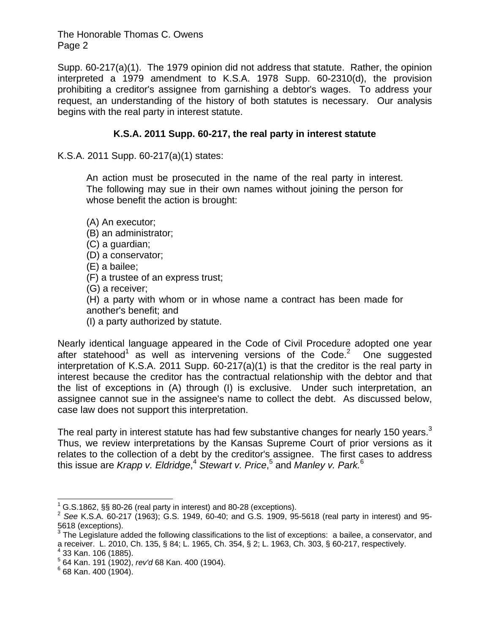Supp. 60-217(a)(1). The 1979 opinion did not address that statute. Rather, the opinion interpreted a 1979 amendment to K.S.A. 1978 Supp. 60-2310(d), the provision prohibiting a creditor's assignee from garnishing a debtor's wages. To address your request, an understanding of the history of both statutes is necessary. Our analysis begins with the real party in interest statute.

## **K.S.A. 2011 Supp. 60-217, the real party in interest statute**

K.S.A. 2011 Supp. 60-217(a)(1) states:

An action must be prosecuted in the name of the real party in interest. The following may sue in their own names without joining the person for whose benefit the action is brought:

(A) An executor;

- (B) an administrator;
- (C) a guardian;
- (D) a conservator;
- (E) a bailee;
- (F) a trustee of an express trust;
- (G) a receiver;

(H) a party with whom or in whose name a contract has been made for another's benefit; and

(I) a party authorized by statute.

Nearly identical language appeared in the Code of Civil Procedure adopted one year after statehood<sup>1</sup> as well as intervening versions of the Code.<sup>2</sup> One suggested interpretation of K.S.A. 2011 Supp. 60-217(a)(1) is that the creditor is the real party in interest because the creditor has the contractual relationship with the debtor and that the list of exceptions in (A) through (I) is exclusive. Under such interpretation, an assignee cannot sue in the assignee's name to collect the debt. As discussed below, case law does not support this interpretation.

The real party in interest statute has had few substantive changes for nearly 150 years.<sup>3</sup> Thus, we review interpretations by the Kansas Supreme Court of prior versions as it relates to the collection of a debt by the creditor's assignee. The first cases to address this issue are *Krapp v. Eldridge*, <sup>4</sup> *Stewart v. Price*, 5 and *Manley v. Park.*<sup>6</sup>

 $\overline{\phantom{a}}$ 

<sup>1</sup>

G.S.1862, §§ 80-26 (real party in interest) and 80-28 (exceptions). 2 *See* K.S.A. 60-217 (1963); G.S. 1949, 60-40; and G.S. 1909, 95-5618 (real party in interest) and 95- 5618 (exceptions).

 $3$  The Legislature added the following classifications to the list of exceptions: a bailee, a conservator, and a receiver. L. 2010, Ch. 135, § 84; L. 1965, Ch. 354, § 2; L. 1963, Ch. 303, § 60-217, respectively. 4  $4$  33 Kan. 106 (1885).

<sup>&</sup>lt;sup>5</sup> 64 Kan. 191 (1902), *rev'd* 68 Kan. 400 (1904).<br><sup>6</sup> 68 Kan. 400 (1904)

 $668$  Kan. 400 (1904).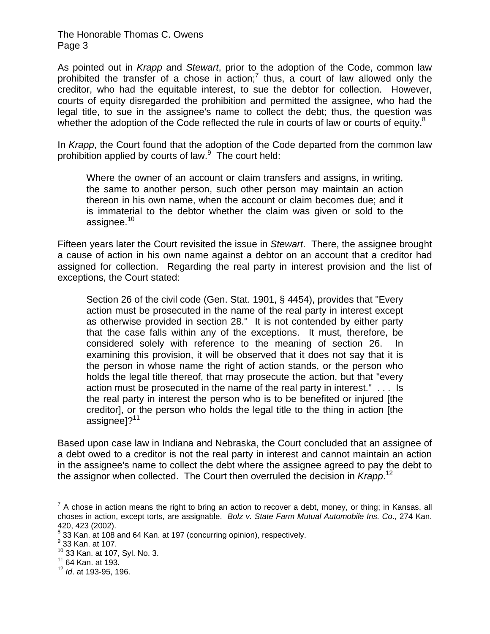As pointed out in *Krapp* and *Stewart*, prior to the adoption of the Code, common law prohibited the transfer of a chose in action;<sup>7</sup> thus, a court of law allowed only the creditor, who had the equitable interest, to sue the debtor for collection. However, courts of equity disregarded the prohibition and permitted the assignee, who had the legal title, to sue in the assignee's name to collect the debt; thus, the question was whether the adoption of the Code reflected the rule in courts of law or courts of equity. $8$ 

In *Krapp*, the Court found that the adoption of the Code departed from the common law prohibition applied by courts of law.<sup>9</sup> The court held:

Where the owner of an account or claim transfers and assigns, in writing, the same to another person, such other person may maintain an action thereon in his own name, when the account or claim becomes due; and it is immaterial to the debtor whether the claim was given or sold to the assignee.<sup>10</sup>

Fifteen years later the Court revisited the issue in *Stewart*. There, the assignee brought a cause of action in his own name against a debtor on an account that a creditor had assigned for collection. Regarding the real party in interest provision and the list of exceptions, the Court stated:

Section 26 of the civil code (Gen. Stat. 1901, § 4454), provides that "Every action must be prosecuted in the name of the real party in interest except as otherwise provided in section 28." It is not contended by either party that the case falls within any of the exceptions. It must, therefore, be considered solely with reference to the meaning of section 26. In examining this provision, it will be observed that it does not say that it is the person in whose name the right of action stands, or the person who holds the legal title thereof, that may prosecute the action, but that "every action must be prosecuted in the name of the real party in interest." . . . Is the real party in interest the person who is to be benefited or injured [the creditor], or the person who holds the legal title to the thing in action [the assignee]?<sup>11</sup>

Based upon case law in Indiana and Nebraska, the Court concluded that an assignee of a debt owed to a creditor is not the real party in interest and cannot maintain an action in the assignee's name to collect the debt where the assignee agreed to pay the debt to the assignor when collected. The Court then overruled the decision in *Krapp*. 12

The metal control and the means the right to bring an action to recover a debt, money, or thing; in Kansas, all<br>The chose in action means the right to bring an action to recover a debt, money, or thing; in Kansas, all choses in action, except torts, are assignable. *Bolz v. State Farm Mutual Automobile Ins. Co*., 274 Kan. 420, 423 (2002).

<sup>&</sup>lt;sup>8</sup> 33 Kan. at 108 and 64 Kan. at 197 (concurring opinion), respectively.<br>9 33 Kan. at 193

 $9\overline{33}$  Kan. at 107.

 $^{10}$  33 Kan. at 107, Syl. No. 3.<br> $^{11}$  64 Kan. at 193.

<sup>12</sup> *Id*. at 193-95, 196.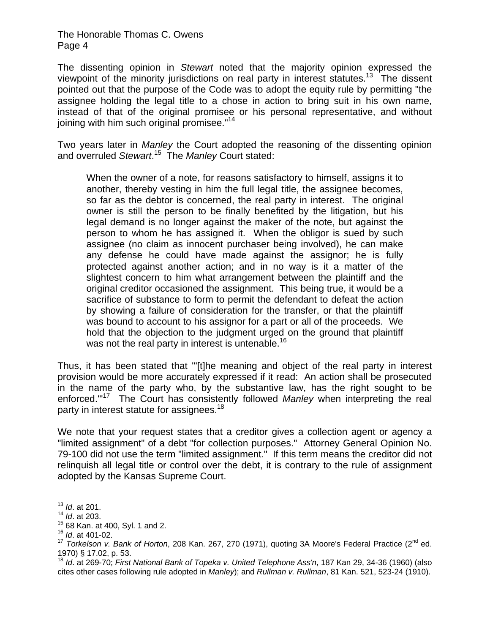The dissenting opinion in *Stewart* noted that the majority opinion expressed the viewpoint of the minority jurisdictions on real party in interest statutes.<sup>13</sup> The dissent pointed out that the purpose of the Code was to adopt the equity rule by permitting "the assignee holding the legal title to a chose in action to bring suit in his own name, instead of that of the original promisee or his personal representative, and without joining with him such original promisee."<sup>14</sup>

Two years later in *Manley* the Court adopted the reasoning of the dissenting opinion and overruled *Stewart*. 15 The *Manley* Court stated:

When the owner of a note, for reasons satisfactory to himself, assigns it to another, thereby vesting in him the full legal title, the assignee becomes, so far as the debtor is concerned, the real party in interest. The original owner is still the person to be finally benefited by the litigation, but his legal demand is no longer against the maker of the note, but against the person to whom he has assigned it. When the obligor is sued by such assignee (no claim as innocent purchaser being involved), he can make any defense he could have made against the assignor; he is fully protected against another action; and in no way is it a matter of the slightest concern to him what arrangement between the plaintiff and the original creditor occasioned the assignment. This being true, it would be a sacrifice of substance to form to permit the defendant to defeat the action by showing a failure of consideration for the transfer, or that the plaintiff was bound to account to his assignor for a part or all of the proceeds. We hold that the objection to the judgment urged on the ground that plaintiff was not the real party in interest is untenable.<sup>16</sup>

Thus, it has been stated that "'[t]he meaning and object of the real party in interest provision would be more accurately expressed if it read: An action shall be prosecuted in the name of the party who, by the substantive law, has the right sought to be enforced.'"17 The Court has consistently followed *Manley* when interpreting the real party in interest statute for assignees.<sup>18</sup>

We note that your request states that a creditor gives a collection agent or agency a "limited assignment" of a debt "for collection purposes." Attorney General Opinion No. 79-100 did not use the term "limited assignment." If this term means the creditor did not relinquish all legal title or control over the debt, it is contrary to the rule of assignment adopted by the Kansas Supreme Court.

 $\overline{a}$ <sup>13</sup> *Id*. at 201.

<sup>14</sup> *Id*. at 203.

<sup>15 68</sup> Kan. at 400, Syl. 1 and 2. 16 *Id*. at 401-02.

<sup>17</sup> *Torkelson v. Bank of Horton*, 208 Kan. 267, 270 (1971), quoting 3A Moore's Federal Practice (2nd ed. 1970) § 17.02, p. 53.

<sup>18</sup> *Id*. at 269-70; *First National Bank of Topeka v. United Telephone Ass'n*, 187 Kan 29, 34-36 (1960) (also cites other cases following rule adopted in *Manley*); and *Rullman v. Rullman*, 81 Kan. 521, 523-24 (1910).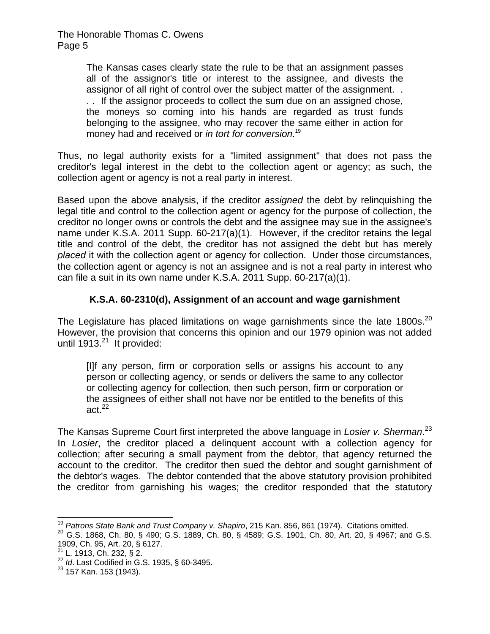> The Kansas cases clearly state the rule to be that an assignment passes all of the assignor's title or interest to the assignee, and divests the assignor of all right of control over the subject matter of the assignment. . . . If the assignor proceeds to collect the sum due on an assigned chose, the moneys so coming into his hands are regarded as trust funds belonging to the assignee, who may recover the same either in action for money had and received or *in tort for conversion*. 19

Thus, no legal authority exists for a "limited assignment" that does not pass the creditor's legal interest in the debt to the collection agent or agency; as such, the collection agent or agency is not a real party in interest.

Based upon the above analysis, if the creditor *assigned* the debt by relinquishing the legal title and control to the collection agent or agency for the purpose of collection, the creditor no longer owns or controls the debt and the assignee may sue in the assignee's name under K.S.A. 2011 Supp. 60-217(a)(1). However, if the creditor retains the legal title and control of the debt, the creditor has not assigned the debt but has merely *placed* it with the collection agent or agency for collection. Under those circumstances, the collection agent or agency is not an assignee and is not a real party in interest who can file a suit in its own name under K.S.A. 2011 Supp. 60-217(a)(1).

# **K.S.A. 60-2310(d), Assignment of an account and wage garnishment**

The Legislature has placed limitations on wage garnishments since the late 1800s.<sup>20</sup> However, the provision that concerns this opinion and our 1979 opinion was not added until 1913. $^{21}$  It provided:

[I]f any person, firm or corporation sells or assigns his account to any person or collecting agency, or sends or delivers the same to any collector or collecting agency for collection, then such person, firm or corporation or the assignees of either shall not have nor be entitled to the benefits of this act. $^{22}$ 

The Kansas Supreme Court first interpreted the above language in *Losier v. Sherman*. 23 In *Losier*, the creditor placed a delinquent account with a collection agency for collection; after securing a small payment from the debtor, that agency returned the account to the creditor. The creditor then sued the debtor and sought garnishment of the debtor's wages. The debtor contended that the above statutory provision prohibited the creditor from garnishing his wages; the creditor responded that the statutory

<sup>&</sup>lt;sup>19</sup> Patrons State Bank and Trust Company v. Shapiro, 215 Kan. 856, 861 (1974). Citations omitted.

<sup>&</sup>lt;sup>20</sup> G.S. 1868, Ch. 80, § 490; G.S. 1889, Ch. 80, § 4589; G.S. 1901, Ch. 80, Art. 20, § 4967; and G.S. 1909, Ch. 95, Art. 20, § 6127.

 $^{21}$  L. 1913, Ch. 232, § 2.

<sup>22</sup> *Id*. Last Codified in G.S. 1935, § 60-3495.

<sup>&</sup>lt;sup>23</sup> 157 Kan. 153 (1943).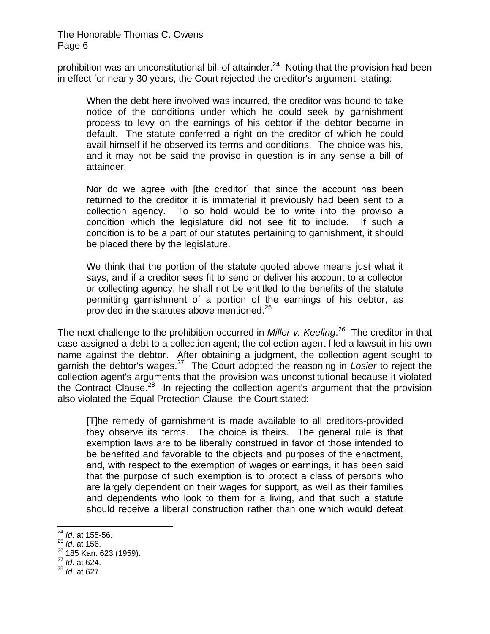prohibition was an unconstitutional bill of attainder.<sup>24</sup> Noting that the provision had been in effect for nearly 30 years, the Court rejected the creditor's argument, stating:

When the debt here involved was incurred, the creditor was bound to take notice of the conditions under which he could seek by garnishment process to levy on the earnings of his debtor if the debtor became in default. The statute conferred a right on the creditor of which he could avail himself if he observed its terms and conditions. The choice was his, and it may not be said the proviso in question is in any sense a bill of attainder.

Nor do we agree with [the creditor] that since the account has been returned to the creditor it is immaterial it previously had been sent to a collection agency. To so hold would be to write into the proviso a condition which the legislature did not see fit to include. If such a condition is to be a part of our statutes pertaining to garnishment, it should be placed there by the legislature.

We think that the portion of the statute quoted above means just what it says, and if a creditor sees fit to send or deliver his account to a collector or collecting agency, he shall not be entitled to the benefits of the statute permitting garnishment of a portion of the earnings of his debtor, as provided in the statutes above mentioned.<sup>25</sup>

The next challenge to the prohibition occurred in *Miller v. Keeling*. 26 The creditor in that case assigned a debt to a collection agent; the collection agent filed a lawsuit in his own name against the debtor. After obtaining a judgment, the collection agent sought to garnish the debtor's wages.27 The Court adopted the reasoning in *Losier* to reject the collection agent's arguments that the provision was unconstitutional because it violated the Contract Clause.<sup>28</sup> In rejecting the collection agent's argument that the provision also violated the Equal Protection Clause, the Court stated:

[T]he remedy of garnishment is made available to all creditors-provided they observe its terms. The choice is theirs. The general rule is that exemption laws are to be liberally construed in favor of those intended to be benefited and favorable to the objects and purposes of the enactment, and, with respect to the exemption of wages or earnings, it has been said that the purpose of such exemption is to protect a class of persons who are largely dependent on their wages for support, as well as their families and dependents who look to them for a living, and that such a statute should receive a liberal construction rather than one which would defeat

 $\overline{a}$ 

<sup>24</sup> *Id*. at 155-56.

<sup>25</sup> *Id*. at 156.

<sup>&</sup>lt;sup>26</sup> 185 Kan. 623 (1959).<br><sup>27</sup> *Id.* at 624.

<sup>28</sup> *Id*. at 627.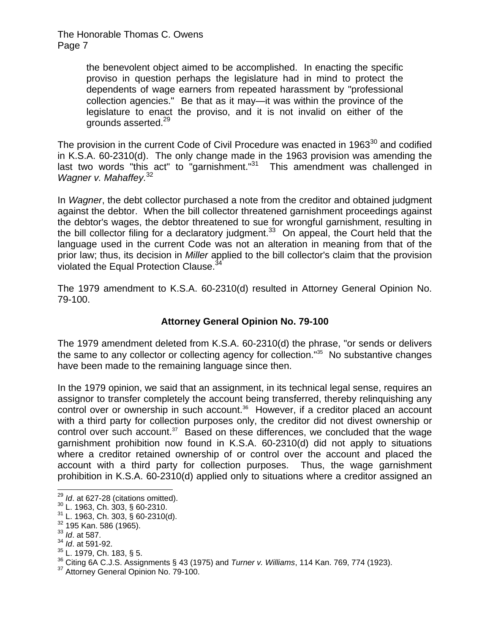> the benevolent object aimed to be accomplished. In enacting the specific proviso in question perhaps the legislature had in mind to protect the dependents of wage earners from repeated harassment by "professional collection agencies." Be that as it may—it was within the province of the legislature to enact the proviso, and it is not invalid on either of the grounds asserted.<sup>29</sup>

The provision in the current Code of Civil Procedure was enacted in  $1963^{30}$  and codified in K.S.A. 60-2310(d). The only change made in the 1963 provision was amending the last two words "this act" to "garnishment."31 This amendment was challenged in *Wagner v. Mahaffey.*32

In *Wagner*, the debt collector purchased a note from the creditor and obtained judgment against the debtor. When the bill collector threatened garnishment proceedings against the debtor's wages, the debtor threatened to sue for wrongful garnishment, resulting in the bill collector filing for a declaratory judgment. $33$  On appeal, the Court held that the language used in the current Code was not an alteration in meaning from that of the prior law; thus, its decision in *Miller* applied to the bill collector's claim that the provision violated the Equal Protection Clause.<sup>3</sup>

The 1979 amendment to K.S.A. 60-2310(d) resulted in Attorney General Opinion No. 79-100.

# **Attorney General Opinion No. 79-100**

The 1979 amendment deleted from K.S.A. 60-2310(d) the phrase, "or sends or delivers the same to any collector or collecting agency for collection."<sup>35</sup> No substantive changes have been made to the remaining language since then.

In the 1979 opinion, we said that an assignment, in its technical legal sense, requires an assignor to transfer completely the account being transferred, thereby relinquishing any control over or ownership in such account.<sup>36</sup> However, if a creditor placed an account with a third party for collection purposes only, the creditor did not divest ownership or control over such account.<sup>37</sup> Based on these differences, we concluded that the wage garnishment prohibition now found in K.S.A. 60-2310(d) did not apply to situations where a creditor retained ownership of or control over the account and placed the account with a third party for collection purposes. Thus, the wage garnishment prohibition in K.S.A. 60-2310(d) applied only to situations where a creditor assigned an

 $29$  Id. at 627-28 (citations omitted).

<sup>&</sup>lt;sup>30</sup> L. 1963, Ch. 303, § 60-2310.

<sup>31</sup> L. 1963, Ch. 303, § 60-2310(d). 32 195 Kan. 586 (1965). 33 *Id*. at 587.

<sup>34</sup> *Id*. at 591-92.

 $35$  L. 1979, Ch. 183, § 5.

<sup>&</sup>lt;sup>36</sup> Citing 6A C.J.S. Assignments § 43 (1975) and *Turner v. Williams*, 114 Kan. 769, 774 (1923).<br><sup>37</sup> Attorney General Opinion No. 79-100.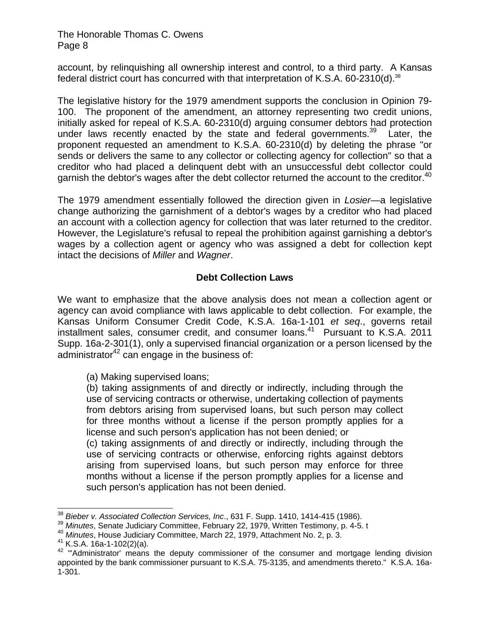account, by relinquishing all ownership interest and control, to a third party. A Kansas federal district court has concurred with that interpretation of K.S.A.  $60-2310(d).^{38}$ 

The legislative history for the 1979 amendment supports the conclusion in Opinion 79- 100. The proponent of the amendment, an attorney representing two credit unions, initially asked for repeal of K.S.A. 60-2310(d) arguing consumer debtors had protection under laws recently enacted by the state and federal governments.<sup>39</sup> Later, the proponent requested an amendment to K.S.A. 60-2310(d) by deleting the phrase "or sends or delivers the same to any collector or collecting agency for collection" so that a creditor who had placed a delinquent debt with an unsuccessful debt collector could garnish the debtor's wages after the debt collector returned the account to the creditor.<sup>40</sup>

The 1979 amendment essentially followed the direction given in *Losier*—a legislative change authorizing the garnishment of a debtor's wages by a creditor who had placed an account with a collection agency for collection that was later returned to the creditor. However, the Legislature's refusal to repeal the prohibition against garnishing a debtor's wages by a collection agent or agency who was assigned a debt for collection kept intact the decisions of *Miller* and *Wagner*.

## **Debt Collection Laws**

We want to emphasize that the above analysis does not mean a collection agent or agency can avoid compliance with laws applicable to debt collection. For example, the Kansas Uniform Consumer Credit Code, K.S.A. 16a-1-101 *et seq*., governs retail installment sales, consumer credit, and consumer loans.<sup>41</sup> Pursuant to K.S.A. 2011 Supp. 16a-2-301(1), only a supervised financial organization or a person licensed by the administrator<sup>42</sup> can engage in the business of:

(a) Making supervised loans;

(b) taking assignments of and directly or indirectly, including through the use of servicing contracts or otherwise, undertaking collection of payments from debtors arising from supervised loans, but such person may collect for three months without a license if the person promptly applies for a license and such person's application has not been denied; or

(c) taking assignments of and directly or indirectly, including through the use of servicing contracts or otherwise, enforcing rights against debtors arising from supervised loans, but such person may enforce for three months without a license if the person promptly applies for a license and such person's application has not been denied.

<sup>&</sup>lt;sup>38</sup> Bieber v. Associated Collection Services, Inc., 631 F. Supp. 1410, 1414-415 (1986).

<sup>&</sup>lt;sup>39</sup> Minutes, Senate Judiciary Committee, February 22, 1979, Written Testimony, p. 4-5. t<br><sup>40</sup> Minutes, House Judiciary Committee, March 22, 1979, Attachment No. 2, p. 3.<br><sup>41</sup> K.S.A. 16a-1-102(2)(a).<br><sup>42</sup> "Administrator' appointed by the bank commissioner pursuant to K.S.A. 75-3135, and amendments thereto." K.S.A. 16a-1-301.